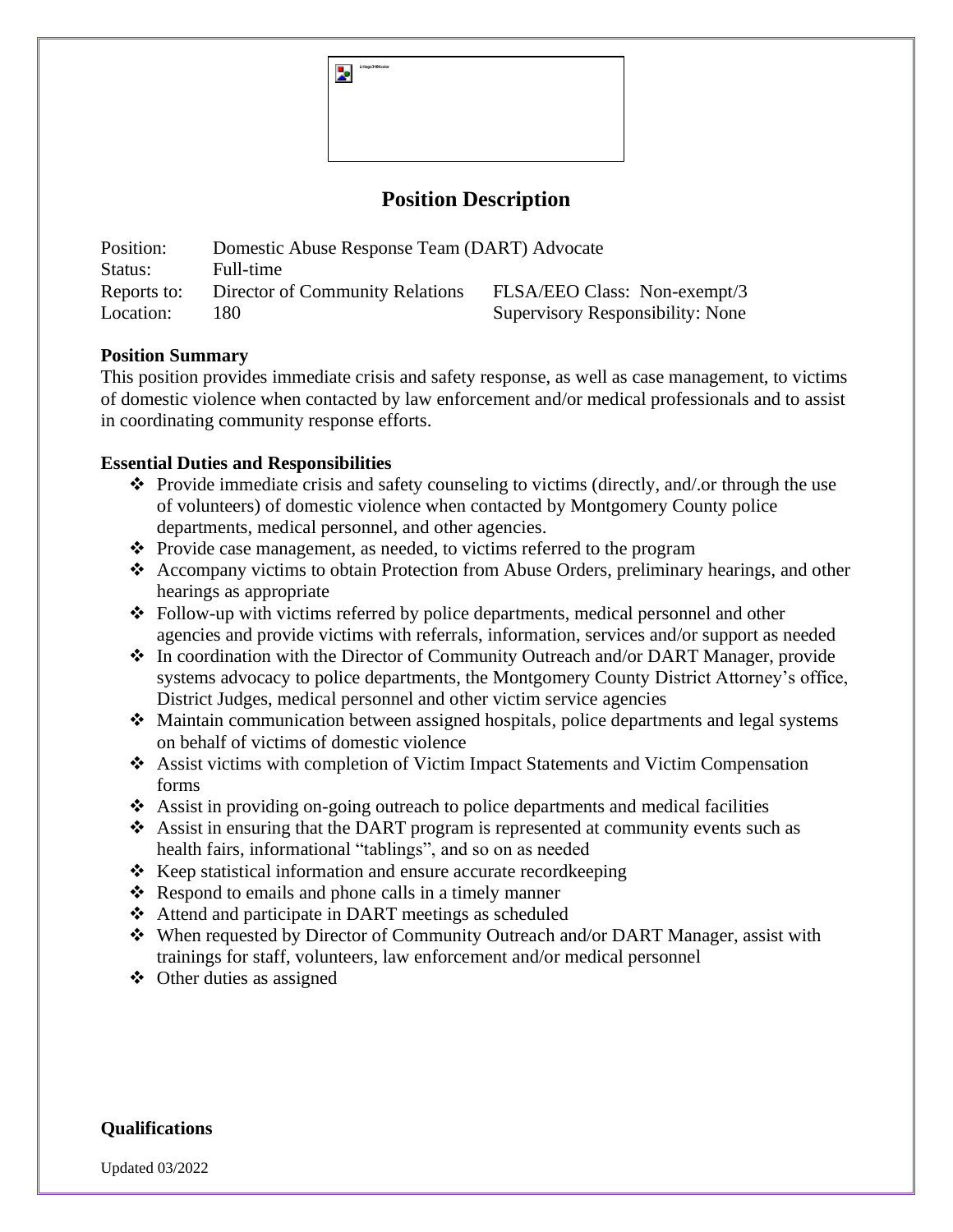Z.

## **Position Description**

| Position:   | Domestic Abuse Response Team (DART) Advocate |                                  |
|-------------|----------------------------------------------|----------------------------------|
| Status:     | Full-time                                    |                                  |
| Reports to: | Director of Community Relations              | FLSA/EEO Class: Non-exempt/3     |
| Location:   | 180.                                         | Supervisory Responsibility: None |

## **Position Summary**

This position provides immediate crisis and safety response, as well as case management, to victims of domestic violence when contacted by law enforcement and/or medical professionals and to assist in coordinating community response efforts.

## **Essential Duties and Responsibilities**

- ❖ Provide immediate crisis and safety counseling to victims (directly, and/.or through the use of volunteers) of domestic violence when contacted by Montgomery County police departments, medical personnel, and other agencies.
- ❖ Provide case management, as needed, to victims referred to the program
- ❖ Accompany victims to obtain Protection from Abuse Orders, preliminary hearings, and other hearings as appropriate
- ❖ Follow-up with victims referred by police departments, medical personnel and other agencies and provide victims with referrals, information, services and/or support as needed
- ❖ In coordination with the Director of Community Outreach and/or DART Manager, provide systems advocacy to police departments, the Montgomery County District Attorney's office, District Judges, medical personnel and other victim service agencies
- ❖ Maintain communication between assigned hospitals, police departments and legal systems on behalf of victims of domestic violence
- ❖ Assist victims with completion of Victim Impact Statements and Victim Compensation forms
- ❖ Assist in providing on-going outreach to police departments and medical facilities
- ❖ Assist in ensuring that the DART program is represented at community events such as health fairs, informational "tablings", and so on as needed
- ❖ Keep statistical information and ensure accurate recordkeeping
- ❖ Respond to emails and phone calls in a timely manner
- ❖ Attend and participate in DART meetings as scheduled
- ❖ When requested by Director of Community Outreach and/or DART Manager, assist with trainings for staff, volunteers, law enforcement and/or medical personnel
- ❖ Other duties as assigned

## **Qualifications**

Updated 03/2022